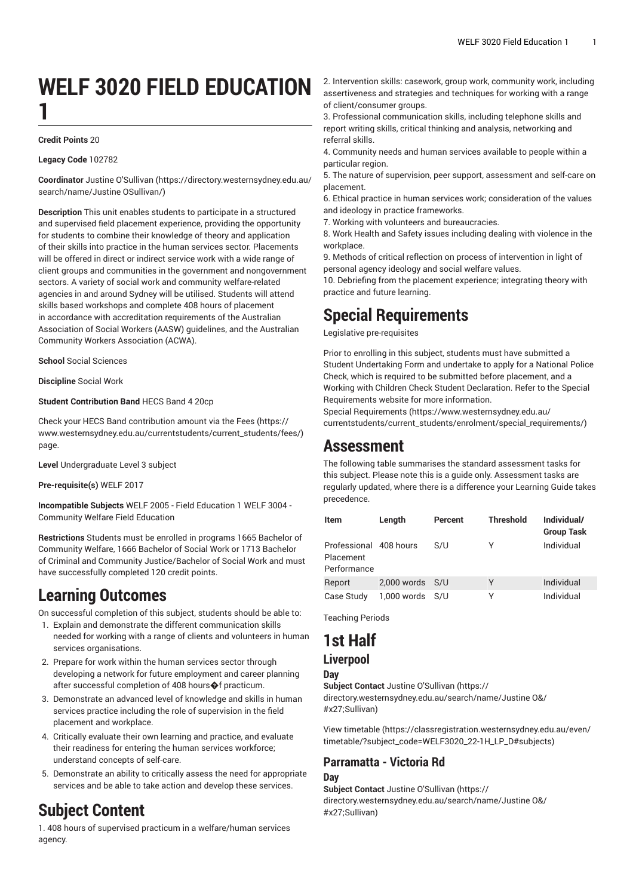# **WELF 3020 FIELD EDUCATION 1**

#### **Credit Points** 20

#### **Legacy Code** 102782

**Coordinator** Justine [O'Sullivan](https://directory.westernsydney.edu.au/search/name/Justine OSullivan/) [\(https://directory.westernsydney.edu.au/](https://directory.westernsydney.edu.au/search/name/Justine OSullivan/) [search/name/Justine](https://directory.westernsydney.edu.au/search/name/Justine OSullivan/) OSullivan/)

**Description** This unit enables students to participate in a structured and supervised field placement experience, providing the opportunity for students to combine their knowledge of theory and application of their skills into practice in the human services sector. Placements will be offered in direct or indirect service work with a wide range of client groups and communities in the government and nongovernment sectors. A variety of social work and community welfare-related agencies in and around Sydney will be utilised. Students will attend skills based workshops and complete 408 hours of placement in accordance with accreditation requirements of the Australian Association of Social Workers (AASW) guidelines, and the Australian Community Workers Association (ACWA).

**School** Social Sciences

**Discipline** Social Work

#### **Student Contribution Band** HECS Band 4 20cp

Check your HECS Band contribution amount via the [Fees \(https://](https://www.westernsydney.edu.au/currentstudents/current_students/fees/) [www.westernsydney.edu.au/currentstudents/current\\_students/fees/\)](https://www.westernsydney.edu.au/currentstudents/current_students/fees/) page.

**Level** Undergraduate Level 3 subject

**Pre-requisite(s)** [WELF 2017](/search/?P=WELF%202017)

**Incompatible Subjects** WELF 2005 - Field Education 1 WELF 3004 - Community Welfare Field Education

**Restrictions** Students must be enrolled in programs 1665 Bachelor of Community Welfare, 1666 Bachelor of Social Work or 1713 Bachelor of Criminal and Community Justice/Bachelor of Social Work and must have successfully completed 120 credit points.

### **Learning Outcomes**

On successful completion of this subject, students should be able to:

- 1. Explain and demonstrate the different communication skills needed for working with a range of clients and volunteers in human services organisations.
- 2. Prepare for work within the human services sector through developing a network for future employment and career planning after successful completion of 408 hours�f practicum.
- 3. Demonstrate an advanced level of knowledge and skills in human services practice including the role of supervision in the field placement and workplace.
- 4. Critically evaluate their own learning and practice, and evaluate their readiness for entering the human services workforce; understand concepts of self-care.
- 5. Demonstrate an ability to critically assess the need for appropriate services and be able to take action and develop these services.

## **Subject Content**

1. 408 hours of supervised practicum in a welfare/human services agency.

2. Intervention skills: casework, group work, community work, including assertiveness and strategies and techniques for working with a range of client/consumer groups.

3. Professional communication skills, including telephone skills and report writing skills, critical thinking and analysis, networking and referral skills.

4. Community needs and human services available to people within a particular region.

5. The nature of supervision, peer support, assessment and self-care on placement.

6. Ethical practice in human services work; consideration of the values and ideology in practice frameworks.

7. Working with volunteers and bureaucracies.

8. Work Health and Safety issues including dealing with violence in the workplace

9. Methods of critical reflection on process of intervention in light of personal agency ideology and social welfare values.

10. Debriefing from the placement experience; integrating theory with practice and future learning.

### **Special Requirements**

Legislative pre-requisites

Prior to enrolling in this subject, students must have submitted a Student Undertaking Form and undertake to apply for a National Police Check, which is required to be submitted before placement, and a Working with Children Check Student Declaration. Refer to the Special Requirements website for more information.

Special [Requirements \(https://www.westernsydney.edu.au/](https://www.westernsydney.edu.au/currentstudents/current_students/enrolment/special_requirements/) [currentstudents/current\\_students/enrolment/special\\_requirements/](https://www.westernsydney.edu.au/currentstudents/current_students/enrolment/special_requirements/))

### **Assessment**

The following table summarises the standard assessment tasks for this subject. Please note this is a guide only. Assessment tasks are regularly updated, where there is a difference your Learning Guide takes precedence.

| Item                                               | Length              | Percent | <b>Threshold</b> | Individual/<br><b>Group Task</b> |
|----------------------------------------------------|---------------------|---------|------------------|----------------------------------|
| Professional 408 hours<br>Placement<br>Performance |                     | S/U     | γ                | Individual                       |
| Report                                             | $2,000$ words $S/U$ |         | γ                | Individual                       |
| Case Study                                         | 1,000 words         | S/U     | γ                | Individual                       |

Teaching Periods

# **1st Half**

### **Liverpool**

**Day**

**Subject Contact** Justine [O'Sullivan \(https://](https://directory.westernsydney.edu.au/search/name/Justine O&/#x27;Sullivan) [directory.westernsydney.edu.au/search/name/Justine](https://directory.westernsydney.edu.au/search/name/Justine O&/#x27;Sullivan) O&/ [#x27;Sullivan\)](https://directory.westernsydney.edu.au/search/name/Justine O&/#x27;Sullivan)

[View timetable](https://classregistration.westernsydney.edu.au/even/timetable/?subject_code=WELF3020_22-1H_LP_D#subjects) [\(https://classregistration.westernsydney.edu.au/even/](https://classregistration.westernsydney.edu.au/even/timetable/?subject_code=WELF3020_22-1H_LP_D#subjects) [timetable/?subject\\_code=WELF3020\\_22-1H\\_LP\\_D#subjects\)](https://classregistration.westernsydney.edu.au/even/timetable/?subject_code=WELF3020_22-1H_LP_D#subjects)

#### **Parramatta - Victoria Rd Day**

**Subject Contact** Justine [O'Sullivan \(https://](https://directory.westernsydney.edu.au/search/name/Justine O&/#x27;Sullivan) [directory.westernsydney.edu.au/search/name/Justine](https://directory.westernsydney.edu.au/search/name/Justine O&/#x27;Sullivan) O&/ [#x27;Sullivan\)](https://directory.westernsydney.edu.au/search/name/Justine O&/#x27;Sullivan)